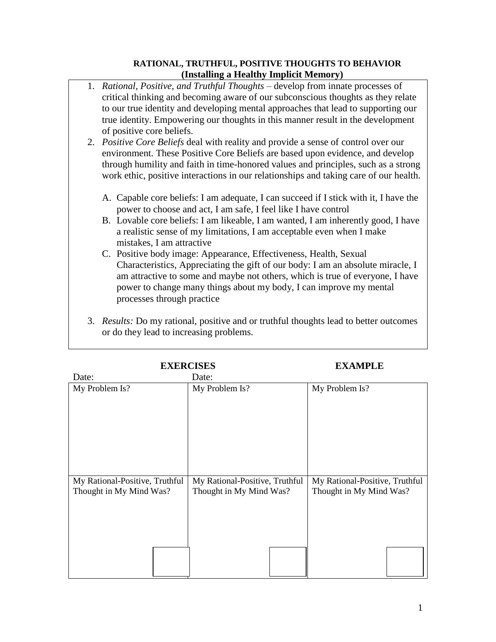## **RATIONAL, TRUTHFUL, POSITIVE THOUGHTS TO BEHAVIOR (Installing a Healthy Implicit Memory)**

- 1. *Rational, Positive, and Truthful Thoughts* develop from innate processes of critical thinking and becoming aware of our subconscious thoughts as they relate to our true identity and developing mental approaches that lead to supporting our true identity. Empowering our thoughts in this manner result in the development of positive core beliefs.
- 2. *Positive Core Beliefs* deal with reality and provide a sense of control over our environment. These Positive Core Beliefs are based upon evidence, and develop through humility and faith in time-honored values and principles, such as a strong work ethic, positive interactions in our relationships and taking care of our health.
	- A. Capable core beliefs: I am adequate, I can succeed if I stick with it, I have the power to choose and act, I am safe, I feel like I have control
	- B. Lovable core beliefs: I am likeable, I am wanted, I am inherently good, I have a realistic sense of my limitations, I am acceptable even when I make mistakes, I am attractive
	- C. Positive body image: Appearance, Effectiveness, Health, Sexual Characteristics, Appreciating the gift of our body: I am an absolute miracle, I am attractive to some and maybe not others, which is true of everyone, I have power to change many things about my body, I can improve my mental processes through practice
- 3. *Results:* Do my rational, positive and or truthful thoughts lead to better outcomes or do they lead to increasing problems.

| <b>EXERCISES</b>                                          |                                                           | <b>EXAMPLE</b>                                            |
|-----------------------------------------------------------|-----------------------------------------------------------|-----------------------------------------------------------|
| Date:                                                     | Date:                                                     |                                                           |
| My Problem Is?                                            | My Problem Is?                                            | My Problem Is?                                            |
| My Rational-Positive, Truthful<br>Thought in My Mind Was? | My Rational-Positive, Truthful<br>Thought in My Mind Was? | My Rational-Positive, Truthful<br>Thought in My Mind Was? |
|                                                           |                                                           |                                                           |
|                                                           |                                                           |                                                           |